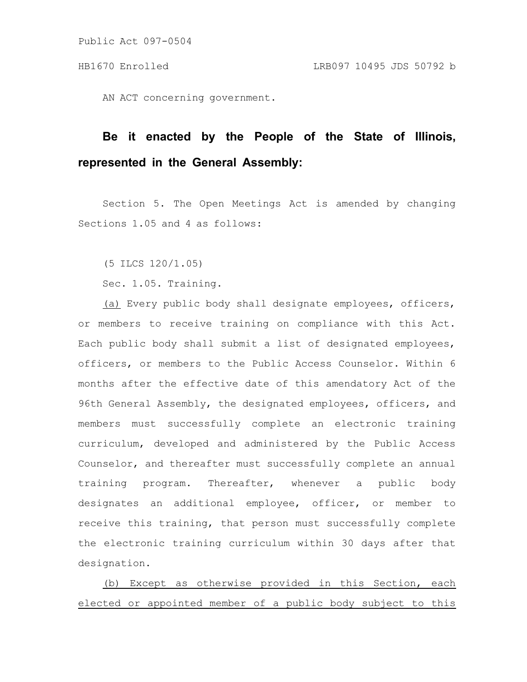Public Act 097-0504

AN ACT concerning government.

## **Be it enacted by the People of the State of Illinois, represented in the General Assembly:**

Section 5. The Open Meetings Act is amended by changing Sections 1.05 and 4 as follows:

(5 ILCS 120/1.05)

Sec. 1.05. Training.

(a) Every public body shall designate employees, officers, or members to receive training on compliance with this Act. Each public body shall submit a list of designated employees, officers, or members to the Public Access Counselor. Within 6 months after the effective date of this amendatory Act of the 96th General Assembly, the designated employees, officers, and members must successfully complete an electronic training curriculum, developed and administered by the Public Access Counselor, and thereafter must successfully complete an annual training program. Thereafter, whenever a public body designates an additional employee, officer, or member to receive this training, that person must successfully complete the electronic training curriculum within 30 days after that designation.

(b) Except as otherwise provided in this Section, each elected or appointed member of a public body subject to this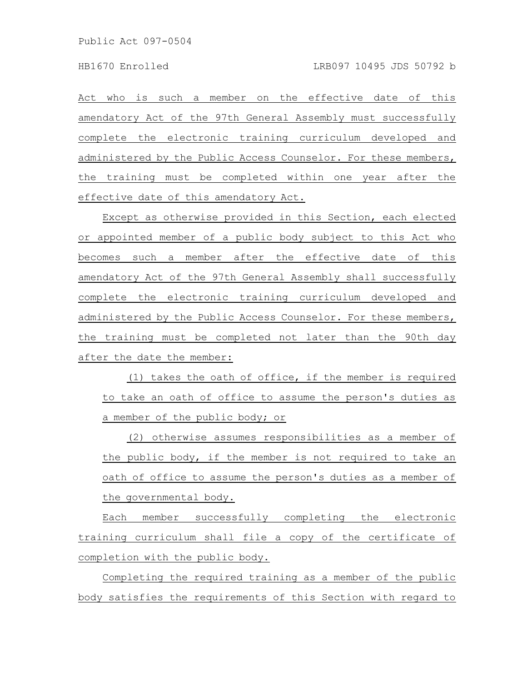Act who is such a member on the effective date of this amendatory Act of the 97th General Assembly must successfully complete the electronic training curriculum developed and administered by the Public Access Counselor. For these members, the training must be completed within one year after the effective date of this amendatory Act.

Except as otherwise provided in this Section, each elected or appointed member of a public body subject to this Act who becomes such a member after the effective date of this amendatory Act of the 97th General Assembly shall successfully complete the electronic training curriculum developed and administered by the Public Access Counselor. For these members, the training must be completed not later than the 90th day after the date the member:

(1) takes the oath of office, if the member is required to take an oath of office to assume the person's duties as a member of the public body; or

(2) otherwise assumes responsibilities as a member of the public body, if the member is not required to take an oath of office to assume the person's duties as a member of the governmental body.

Each member successfully completing the electronic training curriculum shall file a copy of the certificate of completion with the public body.

Completing the required training as a member of the public body satisfies the requirements of this Section with regard to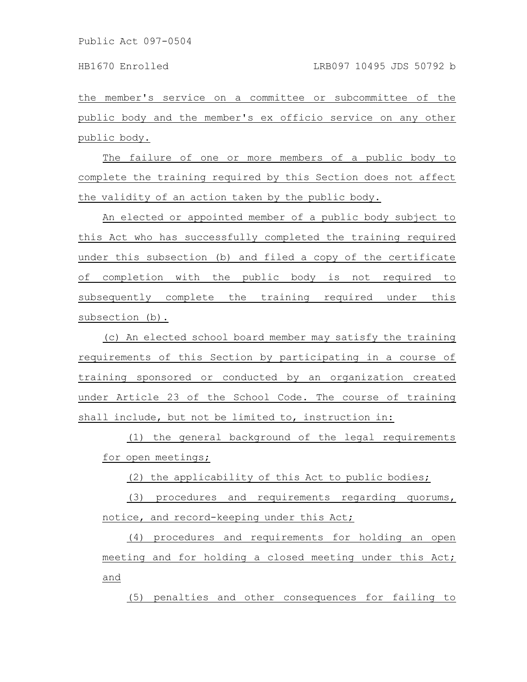the member's service on a committee or subcommittee of the public body and the member's ex officio service on any other public body.

The failure of one or more members of a public body to complete the training required by this Section does not affect the validity of an action taken by the public body.

An elected or appointed member of a public body subject to this Act who has successfully completed the training required under this subsection (b) and filed a copy of the certificate of completion with the public body is not required to subsequently complete the training required under this subsection (b).

(c) An elected school board member may satisfy the training requirements of this Section by participating in a course of training sponsored or conducted by an organization created under Article 23 of the School Code. The course of training shall include, but not be limited to, instruction in:

(1) the general background of the legal requirements for open meetings;

(2) the applicability of this Act to public bodies;

(3) procedures and requirements regarding quorums, notice, and record-keeping under this Act;

(4) procedures and requirements for holding an open meeting and for holding a closed meeting under this Act; and

(5) penalties and other consequences for failing to